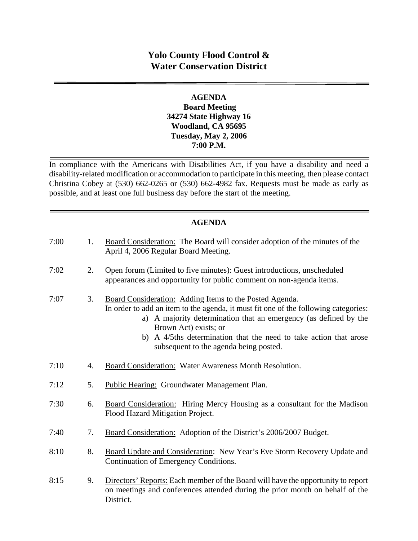# **Yolo County Flood Control & Water Conservation District**

#### **AGENDA Board Meeting 34274 State Highway 16 Woodland, CA 95695 Tuesday, May 2, 2006 7:00 P.M.**

In compliance with the Americans with Disabilities Act, if you have a disability and need a disability-related modification or accommodation to participate in this meeting, then please contact Christina Cobey at (530) 662-0265 or (530) 662-4982 fax. Requests must be made as early as possible, and at least one full business day before the start of the meeting.

## **AGENDA**

| 7:00 | 1. | Board Consideration: The Board will consider adoption of the minutes of the<br>April 4, 2006 Regular Board Meeting.                                                                                                                                                                                                                                        |
|------|----|------------------------------------------------------------------------------------------------------------------------------------------------------------------------------------------------------------------------------------------------------------------------------------------------------------------------------------------------------------|
| 7:02 | 2. | Open forum (Limited to five minutes): Guest introductions, unscheduled<br>appearances and opportunity for public comment on non-agenda items.                                                                                                                                                                                                              |
| 7:07 | 3. | Board Consideration: Adding Items to the Posted Agenda.<br>In order to add an item to the agenda, it must fit one of the following categories:<br>a) A majority determination that an emergency (as defined by the<br>Brown Act) exists; or<br>b) A 4/5ths determination that the need to take action that arose<br>subsequent to the agenda being posted. |
| 7:10 | 4. | Board Consideration: Water Awareness Month Resolution.                                                                                                                                                                                                                                                                                                     |
| 7:12 | 5. | Public Hearing: Groundwater Management Plan.                                                                                                                                                                                                                                                                                                               |
| 7:30 | 6. | <b>Board Consideration:</b> Hiring Mercy Housing as a consultant for the Madison<br>Flood Hazard Mitigation Project.                                                                                                                                                                                                                                       |
| 7:40 | 7. | Board Consideration: Adoption of the District's 2006/2007 Budget.                                                                                                                                                                                                                                                                                          |
| 8:10 | 8. | Board Update and Consideration: New Year's Eve Storm Recovery Update and<br>Continuation of Emergency Conditions.                                                                                                                                                                                                                                          |
| 8:15 | 9. | Directors' Reports: Each member of the Board will have the opportunity to report<br>on meetings and conferences attended during the prior month on behalf of the<br>District.                                                                                                                                                                              |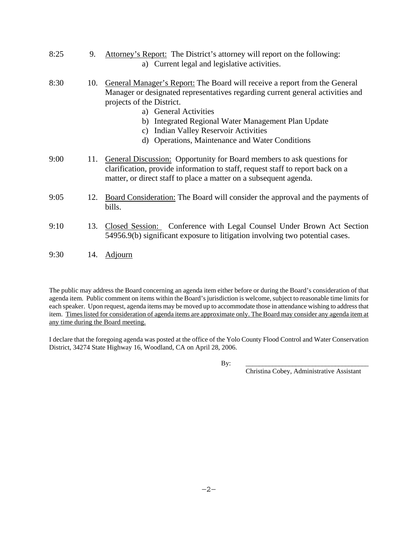- 8:25 9. Attorney's Report: The District's attorney will report on the following: a) Current legal and legislative activities. 8:30 10. General Manager's Report: The Board will receive a report from the General Manager or designated representatives regarding current general activities and projects of the District. a) General Activities b) Integrated Regional Water Management Plan Update c) Indian Valley Reservoir Activities d) Operations, Maintenance and Water Conditions 9:00 11. General Discussion: Opportunity for Board members to ask questions for clarification, provide information to staff, request staff to report back on a matter, or direct staff to place a matter on a subsequent agenda. 9:05 12. Board Consideration: The Board will consider the approval and the payments of bills. 9:10 13. Closed Session: Conference with Legal Counsel Under Brown Act Section
- 54956.9(b) significant exposure to litigation involving two potential cases.
- 9:30 14. Adjourn

The public may address the Board concerning an agenda item either before or during the Board's consideration of that agenda item. Public comment on items within the Board's jurisdiction is welcome, subject to reasonable time limits for each speaker. Upon request, agenda items may be moved up to accommodate those in attendance wishing to address that item. Times listed for consideration of agenda items are approximate only. The Board may consider any agenda item at any time during the Board meeting.

I declare that the foregoing agenda was posted at the office of the Yolo County Flood Control and Water Conservation District, 34274 State Highway 16, Woodland, CA on April 28, 2006.

By: \_\_\_\_\_\_\_\_\_\_\_\_\_\_\_\_\_\_\_\_\_\_\_\_\_\_\_\_\_\_\_\_\_\_\_\_\_

Christina Cobey, Administrative Assistant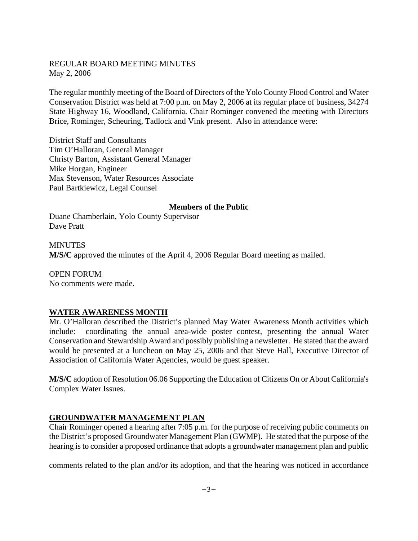#### REGULAR BOARD MEETING MINUTES May 2, 2006

The regular monthly meeting of the Board of Directors of the Yolo County Flood Control and Water Conservation District was held at 7:00 p.m. on May 2, 2006 at its regular place of business, 34274 State Highway 16, Woodland, California. Chair Rominger convened the meeting with Directors Brice, Rominger, Scheuring, Tadlock and Vink present. Also in attendance were:

District Staff and Consultants Tim O'Halloran, General Manager Christy Barton, Assistant General Manager Mike Horgan, Engineer Max Stevenson, Water Resources Associate Paul Bartkiewicz, Legal Counsel

#### **Members of the Public**

Duane Chamberlain, Yolo County Supervisor Dave Pratt

MINUTES **M/S/C** approved the minutes of the April 4, 2006 Regular Board meeting as mailed.

OPEN FORUM No comments were made.

#### **WATER AWARENESS MONTH**

Mr. O'Halloran described the District's planned May Water Awareness Month activities which include: coordinating the annual area-wide poster contest, presenting the annual Water Conservation and Stewardship Award and possibly publishing a newsletter. He stated that the award would be presented at a luncheon on May 25, 2006 and that Steve Hall, Executive Director of Association of California Water Agencies, would be guest speaker.

**M/S/C** adoption of Resolution 06.06 Supporting the Education of Citizens On or About California's Complex Water Issues.

## **GROUNDWATER MANAGEMENT PLAN**

Chair Rominger opened a hearing after 7:05 p.m. for the purpose of receiving public comments on the District's proposed Groundwater Management Plan (GWMP). He stated that the purpose of the hearing is to consider a proposed ordinance that adopts a groundwater management plan and public

comments related to the plan and/or its adoption, and that the hearing was noticed in accordance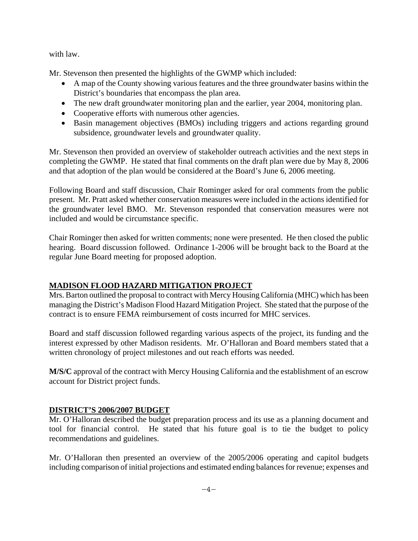with law.

Mr. Stevenson then presented the highlights of the GWMP which included:

- A map of the County showing various features and the three groundwater basins within the District's boundaries that encompass the plan area.
- The new draft groundwater monitoring plan and the earlier, year 2004, monitoring plan.
- Cooperative efforts with numerous other agencies.
- Basin management objectives (BMOs) including triggers and actions regarding ground subsidence, groundwater levels and groundwater quality.

Mr. Stevenson then provided an overview of stakeholder outreach activities and the next steps in completing the GWMP. He stated that final comments on the draft plan were due by May 8, 2006 and that adoption of the plan would be considered at the Board's June 6, 2006 meeting.

Following Board and staff discussion, Chair Rominger asked for oral comments from the public present. Mr. Pratt asked whether conservation measures were included in the actions identified for the groundwater level BMO. Mr. Stevenson responded that conservation measures were not included and would be circumstance specific.

Chair Rominger then asked for written comments; none were presented. He then closed the public hearing. Board discussion followed. Ordinance 1-2006 will be brought back to the Board at the regular June Board meeting for proposed adoption.

# **MADISON FLOOD HAZARD MITIGATION PROJECT**

Mrs. Barton outlined the proposal to contract with Mercy Housing California (MHC) which has been managing the District's Madison Flood Hazard Mitigation Project. She stated that the purpose of the contract is to ensure FEMA reimbursement of costs incurred for MHC services.

Board and staff discussion followed regarding various aspects of the project, its funding and the interest expressed by other Madison residents. Mr. O'Halloran and Board members stated that a written chronology of project milestones and out reach efforts was needed.

**M/S/C** approval of the contract with Mercy Housing California and the establishment of an escrow account for District project funds.

## **DISTRICT'S 2006/2007 BUDGET**

Mr. O'Halloran described the budget preparation process and its use as a planning document and tool for financial control. He stated that his future goal is to tie the budget to policy recommendations and guidelines.

Mr. O'Halloran then presented an overview of the 2005/2006 operating and capitol budgets including comparison of initial projections and estimated ending balances for revenue; expenses and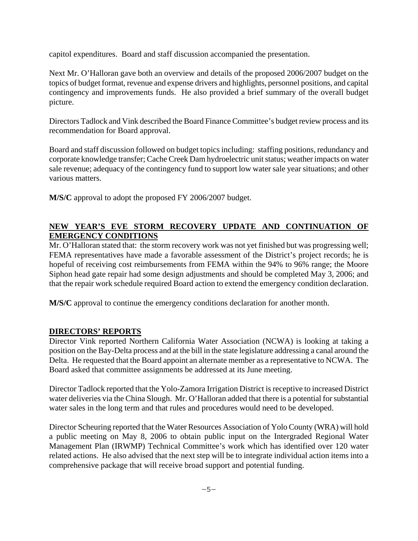capitol expenditures. Board and staff discussion accompanied the presentation.

Next Mr. O'Halloran gave both an overview and details of the proposed 2006/2007 budget on the topics of budget format, revenue and expense drivers and highlights, personnel positions, and capital contingency and improvements funds. He also provided a brief summary of the overall budget picture.

Directors Tadlock and Vink described the Board Finance Committee's budget review process and its recommendation for Board approval.

Board and staff discussion followed on budget topics including: staffing positions, redundancy and corporate knowledge transfer; Cache Creek Dam hydroelectric unit status; weather impacts on water sale revenue; adequacy of the contingency fund to support low water sale year situations; and other various matters.

**M/S/C** approval to adopt the proposed FY 2006/2007 budget.

## **NEW YEAR'S EVE STORM RECOVERY UPDATE AND CONTINUATION OF EMERGENCY CONDITIONS**

Mr. O'Halloran stated that: the storm recovery work was not yet finished but was progressing well; FEMA representatives have made a favorable assessment of the District's project records; he is hopeful of receiving cost reimbursements from FEMA within the 94% to 96% range; the Moore Siphon head gate repair had some design adjustments and should be completed May 3, 2006; and that the repair work schedule required Board action to extend the emergency condition declaration.

**M/S/C** approval to continue the emergency conditions declaration for another month.

## **DIRECTORS' REPORTS**

Director Vink reported Northern California Water Association (NCWA) is looking at taking a position on the Bay-Delta process and at the bill in the state legislature addressing a canal around the Delta. He requested that the Board appoint an alternate member as a representative to NCWA. The Board asked that committee assignments be addressed at its June meeting.

Director Tadlock reported that the Yolo-Zamora Irrigation District is receptive to increased District water deliveries via the China Slough. Mr. O'Halloran added that there is a potential for substantial water sales in the long term and that rules and procedures would need to be developed.

Director Scheuring reported that the Water Resources Association of Yolo County (WRA) will hold a public meeting on May 8, 2006 to obtain public input on the Intergraded Regional Water Management Plan (IRWMP) Technical Committee's work which has identified over 120 water related actions. He also advised that the next step will be to integrate individual action items into a comprehensive package that will receive broad support and potential funding.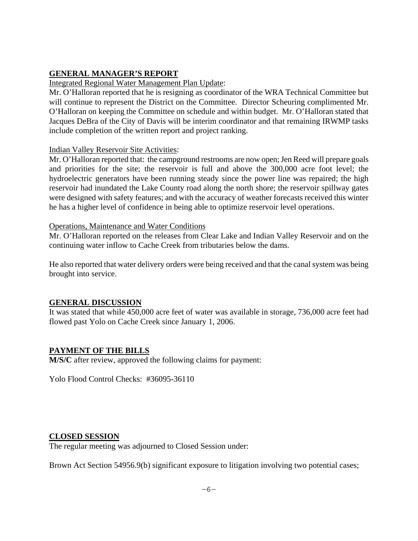## **GENERAL MANAGER'S REPORT**

#### Integrated Regional Water Management Plan Update:

Mr. O'Halloran reported that he is resigning as coordinator of the WRA Technical Committee but will continue to represent the District on the Committee. Director Scheuring complimented Mr. O'Halloran on keeping the Committee on schedule and within budget. Mr. O'Halloran stated that Jacques DeBra of the City of Davis will be interim coordinator and that remaining IRWMP tasks include completion of the written report and project ranking.

#### Indian Valley Reservoir Site Activities:

Mr. O'Halloran reported that: the campground restrooms are now open; Jen Reed will prepare goals and priorities for the site; the reservoir is full and above the 300,000 acre foot level; the hydroelectric generators have been running steady since the power line was repaired; the high reservoir had inundated the Lake County road along the north shore; the reservoir spillway gates were designed with safety features; and with the accuracy of weather forecasts received this winter he has a higher level of confidence in being able to optimize reservoir level operations.

#### Operations, Maintenance and Water Conditions

Mr. O'Halloran reported on the releases from Clear Lake and Indian Valley Reservoir and on the continuing water inflow to Cache Creek from tributaries below the dams.

He also reported that water delivery orders were being received and that the canal system was being brought into service.

## **GENERAL DISCUSSION**

It was stated that while 450,000 acre feet of water was available in storage, 736,000 acre feet had flowed past Yolo on Cache Creek since January 1, 2006.

## **PAYMENT OF THE BILLS**

**M/S/C** after review, approved the following claims for payment:

Yolo Flood Control Checks: #36095-36110

## **CLOSED SESSION**

The regular meeting was adjourned to Closed Session under:

Brown Act Section 54956.9(b) significant exposure to litigation involving two potential cases;